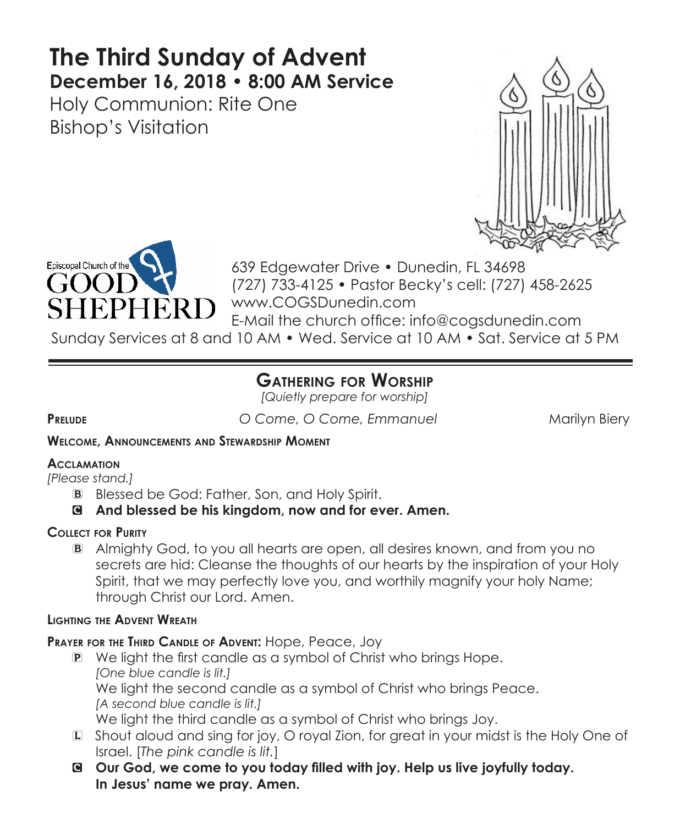# **The Third Sunday of Advent December 16, 2018 • 8:00 AM Service**

Holy Communion: Rite One Bishop's Visitation





639 Edgewater Drive • Dunedin, FL 34698 (727) 733-4125 • Pastor Becky's cell: (727) 458-2625 ERD www.COGSDunedin.com E-Mail the church office: info@cogsdunedin.com

Sunday Services at 8 and 10 AM • Wed. Service at 10 AM • Sat. Service at 5 PM

# **Gathering for Worship**

*[Quietly prepare for worship]*

**Prelude** *O Come, O Come, Emmanuel* Marilyn Biery

#### **Welcome, Announcements and Stewardship Moment**

#### **Acclamation**

*[Please stand.]* 

B Blessed be God: Father, Son, and Holy Spirit.

#### C **And blessed be his kingdom, now and for ever. Amen.**

#### **Collect for Purity**

B Almighty God, to you all hearts are open, all desires known, and from you no secrets are hid: Cleanse the thoughts of our hearts by the inspiration of your Holy Spirit, that we may perfectly love you, and worthily magnify your holy Name; through Christ our Lord. Amen.

#### **Lighting the Advent Wreath**

#### **Prayer for the Third Candle of Advent:** Hope, Peace, Joy

- **P** We light the first candle as a symbol of Christ who brings Hope.  *[One blue candle is lit.]* We light the second candle as a symbol of Christ who brings Peace.  *[A second blue candle is lit.]* We light the third candle as a symbol of Christ who brings Joy.
- Llashout aloud and sing for joy, O royal Zion, for great in your midst is the Holy One of Israel. [*The pink candle is lit.*]
- C **Our God, we come to you today filled with joy. Help us live joyfully today. In Jesus' name we pray. Amen.**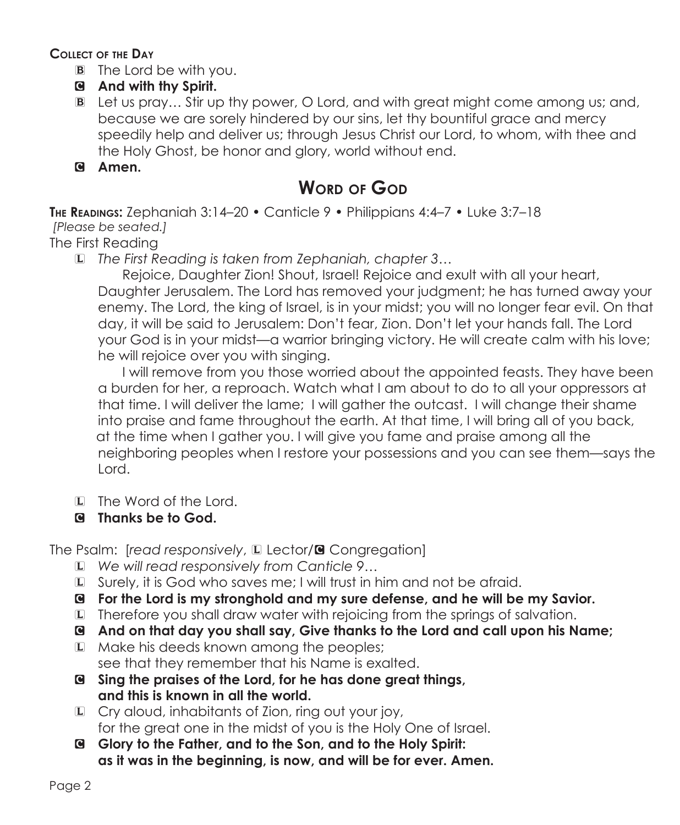#### **Collect of the Day**

- B The Lord be with you.
- C **And with thy Spirit.**
- B Let us pray… Stir up thy power, O Lord, and with great might come among us; and, because we are sorely hindered by our sins, let thy bountiful grace and mercy speedily help and deliver us; through Jesus Christ our Lord, to whom, with thee and the Holy Ghost, be honor and glory, world without end.
- C **Amen.**

# **Word of God**

**The Readings:** Zephaniah 3:14–20 • Canticle 9 • Philippians 4:4–7 • Luke 3:7–18 *[Please be seated.]*

The First Reading

L *The First Reading is taken from Zephaniah, chapter 3…*

 Rejoice, Daughter Zion! Shout, Israel! Rejoice and exult with all your heart, Daughter Jerusalem. The Lord has removed your judgment; he has turned away your enemy. The Lord, the king of Israel, is in your midst; you will no longer fear evil. On that day, it will be said to Jerusalem: Don't fear, Zion. Don't let your hands fall. The Lord your God is in your midst—a warrior bringing victory. He will create calm with his love; he will rejoice over you with singing.

 I will remove from you those worried about the appointed feasts. They have been a burden for her, a reproach. Watch what I am about to do to all your oppressors at that time. I will deliver the lame; I will gather the outcast. I will change their shame into praise and fame throughout the earth. At that time, I will bring all of you back, at the time when I gather you. I will give you fame and praise among all the neighboring peoples when I restore your possessions and you can see them—says the Lord.

- L The Word of the Lord.
- C **Thanks be to God.**

The Psalm: *[read responsively*, **L** Lector/**G** Congregation]

- L *We will read responsively from Canticle 9…*
- L Surely, it is God who saves me; I will trust in him and not be afraid.
- C **For the Lord is my stronghold and my sure defense, and he will be my Savior.**
- L Therefore you shall draw water with rejoicing from the springs of salvation.
- C **And on that day you shall say, Give thanks to the Lord and call upon his Name;**
- L Make his deeds known among the peoples; see that they remember that his Name is exalted.
- C **Sing the praises of the Lord, for he has done great things, and this is known in all the world.**
- L Cry aloud, inhabitants of Zion, ring out your joy, for the great one in the midst of you is the Holy One of Israel.
- C **Glory to the Father, and to the Son, and to the Holy Spirit: as it was in the beginning, is now, and will be for ever. Amen.**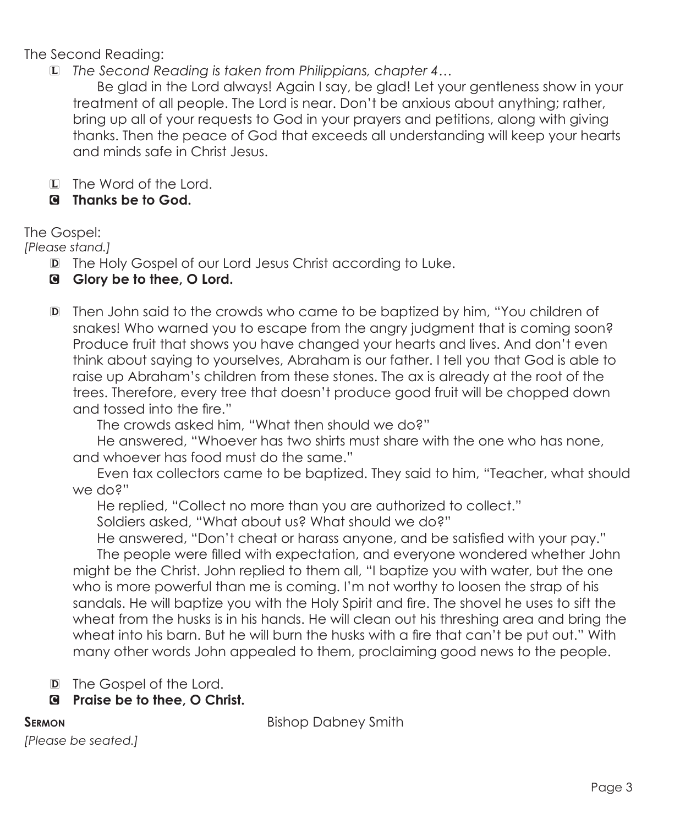The Second Reading:

L *The Second Reading is taken from Philippians, chapter 4…*

 Be glad in the Lord always! Again I say, be glad! Let your gentleness show in your treatment of all people. The Lord is near. Don't be anxious about anything; rather, bring up all of your requests to God in your prayers and petitions, along with giving thanks. Then the peace of God that exceeds all understanding will keep your hearts and minds safe in Christ Jesus.

- L The Word of the Lord.
- C **Thanks be to God.**

The Gospel:

*[Please stand.]*

- D The Holy Gospel of our Lord Jesus Christ according to Luke.
- C **Glory be to thee, O Lord.**
- D Then John said to the crowds who came to be baptized by him, "You children of snakes! Who warned you to escape from the angry judgment that is coming soon? Produce fruit that shows you have changed your hearts and lives. And don't even think about saying to yourselves, Abraham is our father. I tell you that God is able to raise up Abraham's children from these stones. The ax is already at the root of the trees. Therefore, every tree that doesn't produce good fruit will be chopped down and tossed into the fire."

 The crowds asked him, "What then should we do?"

 He answered, "Whoever has two shirts must share with the one who has none, and whoever has food must do the same."

 Even tax collectors came to be baptized. They said to him, "Teacher, what should we do?"

 He replied, "Collect no more than you are authorized to collect."

 Soldiers asked, "What about us? What should we do?"

 He answered, "Don't cheat or harass anyone, and be satisfied with your pay."

 The people were filled with expectation, and everyone wondered whether John might be the Christ. John replied to them all, "I baptize you with water, but the one who is more powerful than me is coming. I'm not worthy to loosen the strap of his sandals. He will baptize you with the Holy Spirit and fire. The shovel he uses to sift the wheat from the husks is in his hands. He will clean out his threshing area and bring the wheat into his barn. But he will burn the husks with a fire that can't be put out." With many other words John appealed to them, proclaiming good news to the people.

- D The Gospel of the Lord.
- C **Praise be to thee, O Christ.**

**SERMON Bishop Dabney Smith** 

```
[Please be seated.]
```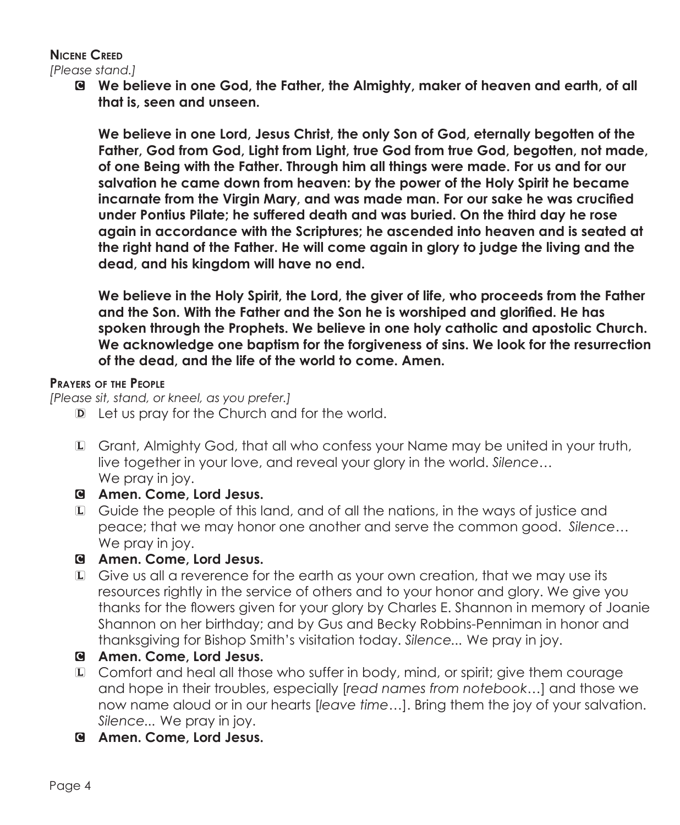#### **Nicene Creed**

*[Please stand.]*

C **We believe in one God, the Father, the Almighty, maker of heaven and earth, of all that is, seen and unseen.** 

 **We believe in one Lord, Jesus Christ, the only Son of God, eternally begotten of the Father, God from God, Light from Light, true God from true God, begotten, not made, of one Being with the Father. Through him all things were made. For us and for our salvation he came down from heaven: by the power of the Holy Spirit he became incarnate from the Virgin Mary, and was made man. For our sake he was crucified under Pontius Pilate; he suffered death and was buried. On the third day he rose again in accordance with the Scriptures; he ascended into heaven and is seated at the right hand of the Father. He will come again in glory to judge the living and the dead, and his kingdom will have no end.**

**We believe in the Holy Spirit, the Lord, the giver of life, who proceeds from the Father and the Son. With the Father and the Son he is worshiped and glorified. He has spoken through the Prophets. We believe in one holy catholic and apostolic Church. We acknowledge one baptism for the forgiveness of sins. We look for the resurrection of the dead, and the life of the world to come. Amen.**

#### **Prayers of the People**

*[Please sit, stand, or kneel, as you prefer.]*

- D Let us pray for the Church and for the world.
- L Grant, Almighty God, that all who confess your Name may be united in your truth, live together in your love, and reveal your glory in the world. *Silence…*  We pray in joy.
- C **Amen. Come, Lord Jesus.**
- L Guide the people of this land, and of all the nations, in the ways of justice and peace; that we may honor one another and serve the common good. *Silence…* We pray in joy.
- C **Amen. Come, Lord Jesus.**
- L Give us all a reverence for the earth as your own creation, that we may use its resources rightly in the service of others and to your honor and glory. We give you thanks for the flowers given for your glory by Charles E. Shannon in memory of Joanie Shannon on her birthday; and by Gus and Becky Robbins-Penniman in honor and thanksgiving for Bishop Smith's visitation today. *Silence...* We pray in joy.
- C **Amen. Come, Lord Jesus.**
- L Comfort and heal all those who suffer in body, mind, or spirit; give them courage and hope in their troubles, especially [*read names from notebook…*] and those we now name aloud or in our hearts [*leave time…*]. Bring them the joy of your salvation. *Silence...* We pray in joy.
- C **Amen. Come, Lord Jesus.**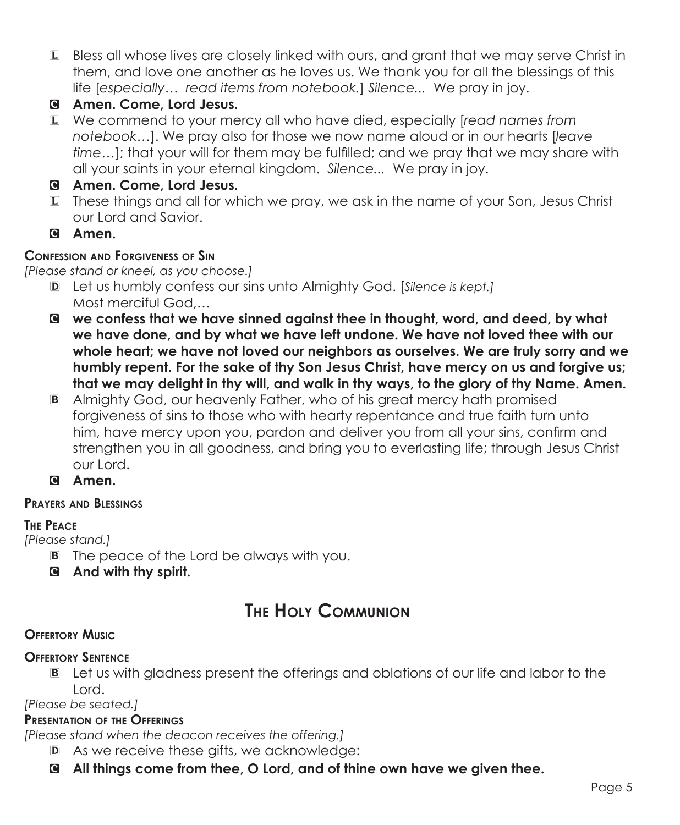- L Bless all whose lives are closely linked with ours, and grant that we may serve Christ in them, and love one another as he loves us. We thank you for all the blessings of this life [*especially… read items from notebook.*] *Silence...* We pray in joy.
- C **Amen. Come, Lord Jesus.**
- L We commend to your mercy all who have died, especially [*read names from notebook…*]. We pray also for those we now name aloud or in our hearts [*leave time…*]; that your will for them may be fulfilled; and we pray that we may share with all your saints in your eternal kingdom. *Silence...* We pray in joy.
- C **Amen. Come, Lord Jesus.**
- L These things and all for which we pray, we ask in the name of your Son, Jesus Christ our Lord and Savior.
- C **Amen.**

## **Confession and Forgiveness of Sin**

*[Please stand or kneel, as you choose.]*

- D Let us humbly confess our sins unto Almighty God. [*Silence is kept.]* Most merciful God,…
- C **we confess that we have sinned against thee in thought, word, and deed, by what we have done, and by what we have left undone. We have not loved thee with our whole heart; we have not loved our neighbors as ourselves. We are truly sorry and we humbly repent. For the sake of thy Son Jesus Christ, have mercy on us and forgive us; that we may delight in thy will, and walk in thy ways, to the glory of thy Name. Amen.**
- B Almighty God, our heavenly Father, who of his great mercy hath promised forgiveness of sins to those who with hearty repentance and true faith turn unto him, have mercy upon you, pardon and deliver you from all your sins, confirm and strengthen you in all goodness, and bring you to everlasting life; through Jesus Christ our Lord.
- C **Amen.**

#### **Prayers and Blessings**

### **The Peace**

*[Please stand.]*

- B The peace of the Lord be always with you.
- C **And with thy spirit.**

# **The Holy Communion**

# **Offertory Music**

### **Offertory Sentence**

B Let us with gladness present the offerings and oblations of our life and labor to the Lord.

*[Please be seated.]*

### **Presentation of the Offerings**

*[Please stand when the deacon receives the offering.]*

- D As we receive these gifts, we acknowledge:
- C **All things come from thee, O Lord, and of thine own have we given thee.**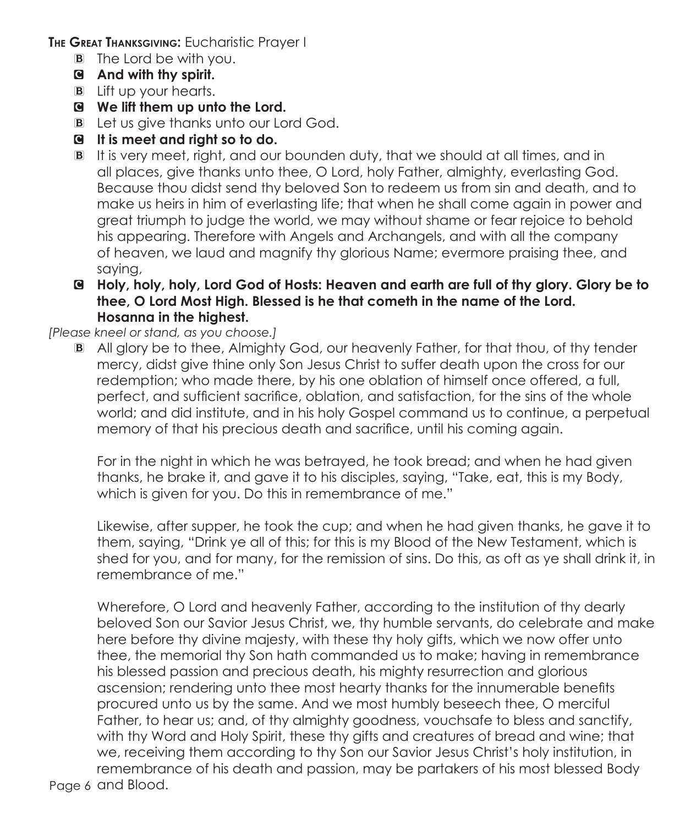**The Great Thanksgiving:** Eucharistic Prayer I

- B The Lord be with you.
- C **And with thy spirit.**
- B Lift up your hearts.
- C **We lift them up unto the Lord.**
- B Let us give thanks unto our Lord God.
- C **It is meet and right so to do.**
- B It is very meet, right, and our bounden duty, that we should at all times, and in all places, give thanks unto thee, O Lord, holy Father, almighty, everlasting God. Because thou didst send thy beloved Son to redeem us from sin and death, and to make us heirs in him of everlasting life; that when he shall come again in power and great triumph to judge the world, we may without shame or fear rejoice to behold his appearing. Therefore with Angels and Archangels, and with all the company of heaven, we laud and magnify thy glorious Name; evermore praising thee, and saying,
- C **Holy, holy, holy, Lord God of Hosts: Heaven and earth are full of thy glory. Glory be to thee, O Lord Most High. Blessed is he that cometh in the name of the Lord. Hosanna in the highest.**

*[Please kneel or stand, as you choose.]*

B All glory be to thee, Almighty God, our heavenly Father, for that thou, of thy tender mercy, didst give thine only Son Jesus Christ to suffer death upon the cross for our redemption; who made there, by his one oblation of himself once offered, a full, perfect, and sufficient sacrifice, oblation, and satisfaction, for the sins of the whole world; and did institute, and in his holy Gospel command us to continue, a perpetual memory of that his precious death and sacrifice, until his coming again.

 For in the night in which he was betrayed, he took bread; and when he had given thanks, he brake it, and gave it to his disciples, saying, "Take, eat, this is my Body, which is given for you. Do this in remembrance of me."

Likewise, after supper, he took the cup; and when he had given thanks, he gave it to them, saying, "Drink ye all of this; for this is my Blood of the New Testament, which is shed for you, and for many, for the remission of sins. Do this, as oft as ye shall drink it, in remembrance of me."

 Wherefore, O Lord and heavenly Father, according to the institution of thy dearly beloved Son our Savior Jesus Christ, we, thy humble servants, do celebrate and make here before thy divine majesty, with these thy holy gifts, which we now offer unto thee, the memorial thy Son hath commanded us to make; having in remembrance his blessed passion and precious death, his mighty resurrection and glorious ascension; rendering unto thee most hearty thanks for the innumerable benefits procured unto us by the same. And we most humbly beseech thee, O merciful Father, to hear us; and, of thy almighty goodness, vouchsafe to bless and sanctify, with thy Word and Holy Spirit, these thy gifts and creatures of bread and wine; that we, receiving them according to thy Son our Savior Jesus Christ's holy institution, in remembrance of his death and passion, may be partakers of his most blessed Body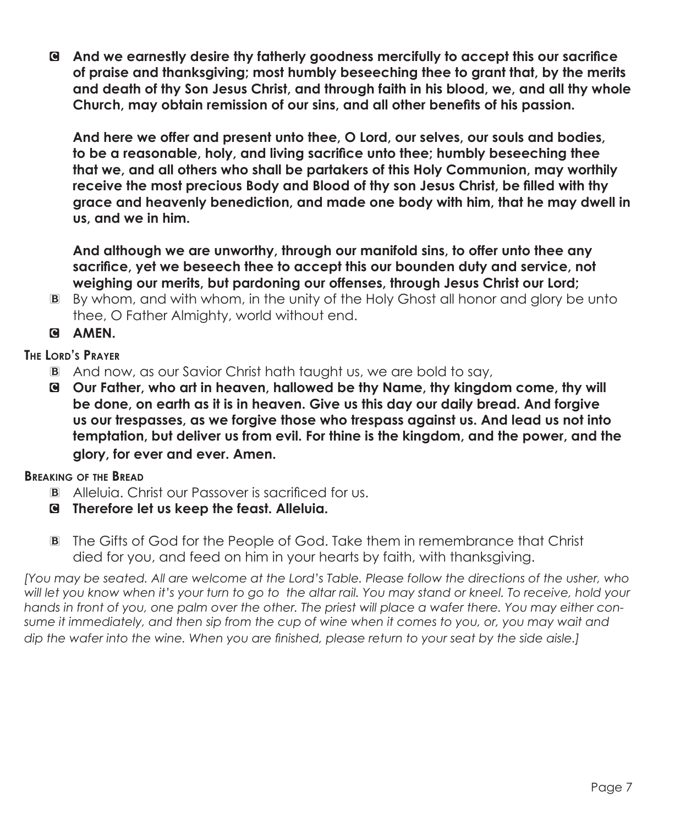C **And we earnestly desire thy fatherly goodness mercifully to accept this our sacrifice of praise and thanksgiving; most humbly beseeching thee to grant that, by the merits and death of thy Son Jesus Christ, and through faith in his blood, we, and all thy whole Church, may obtain remission of our sins, and all other benefits of his passion.**

**And here we offer and present unto thee, O Lord, our selves, our souls and bodies, to be a reasonable, holy, and living sacrifice unto thee; humbly beseeching thee that we, and all others who shall be partakers of this Holy Communion, may worthily receive the most precious Body and Blood of thy son Jesus Christ, be filled with thy grace and heavenly benediction, and made one body with him, that he may dwell in us, and we in him.**

 **And although we are unworthy, through our manifold sins, to offer unto thee any sacrifice, yet we beseech thee to accept this our bounden duty and service, not weighing our merits, but pardoning our offenses, through Jesus Christ our Lord;** 

B By whom, and with whom, in the unity of the Holy Ghost all honor and glory be unto thee, O Father Almighty, world without end.

#### C **AMEN.**

#### **The Lord's Prayer**

- B And now, as our Savior Christ hath taught us, we are bold to say,
- C **Our Father, who art in heaven, hallowed be thy Name, thy kingdom come, thy will be done, on earth as it is in heaven. Give us this day our daily bread. And forgive us our trespasses, as we forgive those who trespass against us. And lead us not into temptation, but deliver us from evil. For thine is the kingdom, and the power, and the glory, for ever and ever. Amen.**

#### **Breaking of the Bread**

- B Alleluia. Christ our Passover is sacrificed for us.
- C **Therefore let us keep the feast. Alleluia.**
- B The Gifts of God for the People of God. Take them in remembrance that Christ died for you, and feed on him in your hearts by faith, with thanksgiving.

*[You may be seated. All are welcome at the Lord's Table. Please follow the directions of the usher, who will let you know when it's your turn to go to the altar rail. You may stand or kneel. To receive, hold your hands in front of you, one palm over the other. The priest will place a wafer there. You may either consume it immediately, and then sip from the cup of wine when it comes to you, or, you may wait and dip the wafer into the wine. When you are finished, please return to your seat by the side aisle.]*